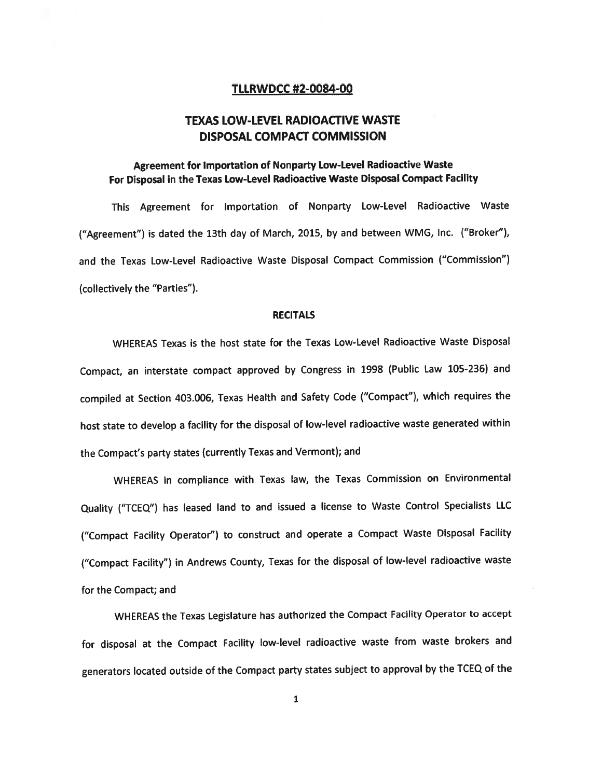## TLLRWDCC #2-0084-00

# TEXAS LOW-LEVEL RADIOACTIVE WASTE DISPOSAL COMPACT COMMISSION

## Agreement for Importation of Nonparty Low-Level Radioactive Waste For Disposal in the Texas Low-Level Radioactive Waste Disposal Compact Facility

This Agreement for Importation of Nonparty Low-Level Radioactive Waste ("Agreement") is dated the 13th day of March, 2015, by and between WMG, Inc. ("Broker"), and the Texas Low-Level Radioactive Waste Disposal Compact Commission ("Commission") (collectively the "Parties").

#### **RECITALS**

WHEREAS Texas is the host state for the Texas Low-Level Radioactive Waste Disposal Compact, an interstate compac<sup>t</sup> approve<sup>d</sup> by Congress in <sup>1998</sup> (Public Law 105-236) and compiled at Section 403.006, Texas Health and Safety Code ("Compact"), which requires the host state to develop <sup>a</sup> facility for the disposal of low-level radioactive waste generated within the Compact's party states (currently Texas and Vermont); and

WHEREAS in compliance with Texas law, the Texas Commission on Environmental Quality ("TCEQ") has leased land to and issued <sup>a</sup> license to Waste Control Specialists LLC ("Compact Facility Operator") to construct and operate <sup>a</sup> Compact Waste Disposal Facility ("Compact Facility") in Andrews County, Texas for the disposal of low-level radioactive waste for the Compact; and

WHEREAS the Texas Legislature has authorized the Compact Facility Operator to accep<sup>t</sup> for disposal at the Compact Facility low-level radioactive waste from waste brokers and generators located outside of the Compact party states subject to approva<sup>l</sup> by the TCEQ of the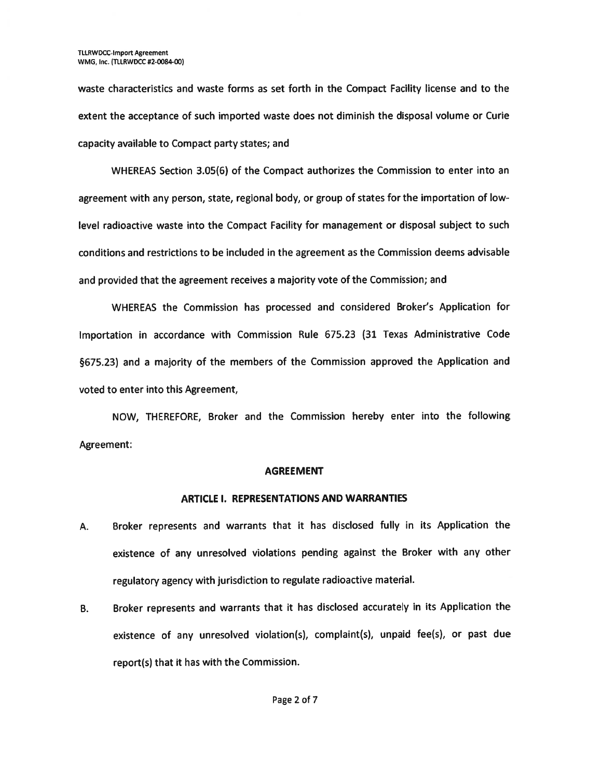waste characteristics and waste forms as set forth in the Compact Facility license and to the extent the acceptance of such imported waste does not diminish the disposal volume or Curie capacity available to Compact party states; and

WHEREAS Section 3.05(6) of the Compact authorizes the Commission to enter into an agreemen<sup>t</sup> with any person, state, regional body, or group of states for the importation of low level radioactive waste into the Compact Facility for managemen<sup>t</sup> or disposal subject to such conditions and restrictions to be included in the agreemen<sup>t</sup> as the Commission deems advisable and provided that the agreemen<sup>t</sup> receives <sup>a</sup> majority vote of the Commission; and

WHEREAS the Commission has processed and considered Broker's Application for Importation in accordance with Commission Rule 675.23 (31 Texas Administrative Code §675.23) and <sup>a</sup> majority of the members of the Commission approve<sup>d</sup> the Application and voted to enter into this Agreement,

NOW, THEREFORE, Broker and the Commission hereby enter into the following Agreement:

### AGREEMENT

### ARTICLE I. REPRESENTATIONS AND WARRANTIES

- A. Broker represents and warrants that it has disclosed fully in its Application the existence of any unresolved violations pending against the Broker with any other regulatory agency with jurisdiction to regulate radioactive material.
- B. Broker represents and warrants that it has disclosed accurately in its Application the existence of any unresolved violation(s), complaint(s), unpaid fee(s), or pas<sup>t</sup> due report(s) that it has with the Commission.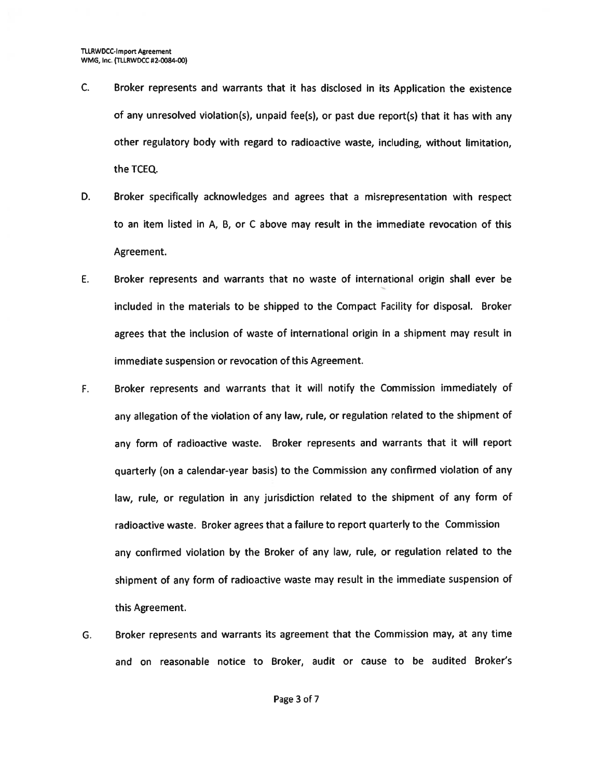- C. Broker represents and warrants that it has disclosed in its Application the existence of any unresolved violation(s), unpaid fee(s), or pas<sup>t</sup> due report(s) that it has with any other regulatory body with regard to radioactive waste, including, without limitation, the TCEQ.
- D. Broker specifically acknowledges and agrees that <sup>a</sup> misrepresentation with respec<sup>t</sup> to an item listed in A, B, or C above may result in the immediate revocation of this Agreement.
- E. Broker represents and warrants that no waste of international origin shall ever be included in the materials to be shipped to the Compact Facility for disposal. Broker agrees that the inclusion of waste of international origin in <sup>a</sup> shipment may result in immediate suspension or revocation of this Agreement.
- F. Broker represents and warrants that it will notify the Commission immediately of any allegation of the violation of any law, rule, or regulation related to the shipment of any form of radioactive waste. Broker represents and warrants that it will repor<sup>t</sup> quarterly (on <sup>a</sup> calendar-year basis) to the Commission any confirmed violation of any law, rule, or regulation in any jurisdiction related to the shipment of any form of radioactive waste. Broker agrees that <sup>a</sup> failure to repor<sup>t</sup> quarterly to the Commission any confirmed violation by the Broker of any law, rule, or regulation related to the shipment of any form of radioactive waste may result in the immediate suspension of this Agreement.
- G. Broker represents and warrants its agreemen<sup>t</sup> that the Commission may, at any time and on reasonable notice to Broker, audit or cause to be audited Broker's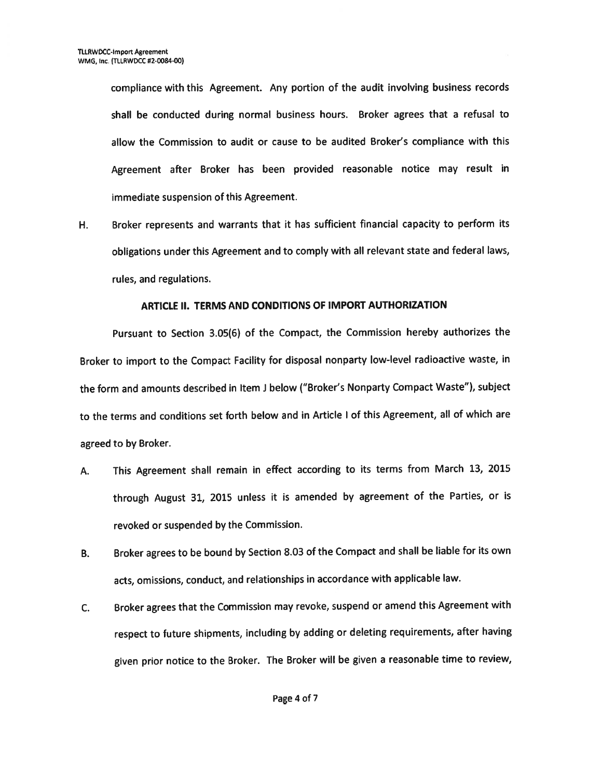compliance with this Agreement. Any portion of the audit involving business records shall be conducted during normal business hours. Broker agrees that <sup>a</sup> refusal to allow the Commission to audit or cause to be audited Broker's compliance with this Agreement after Broker has been provided reasonable notice may result in immediate suspension of this Agreement.

H. Broker represents and warrants that it has sufficient financial capacity to perform its obligations under this Agreement and to comply with all relevant state and federal laws, rules, and regulations.

## ARTICLE II. TERMS AND CONDITIONS OF IMPORT AUTHORIZATION

Pursuant to Section 3.05(6) of the Compact, the Commission hereby authorizes the Broker to import to the Compact Facility for disposal nonparty low-level radioactive waste, in the form and amounts described in Item i below ("Broker's Nonparty Compact Waste"), subject to the terms and conditions set forth below and in Article <sup>I</sup> of this Agreement, all of which are agreed to by Broker.

- A. This Agreement shall remain in effect according to its terms from March 13, <sup>2015</sup> through August 31, <sup>2015</sup> unless it is amended by agreemen<sup>t</sup> of the Parties, or is revoked or suspended by the Commission.
- B. Broker agrees to be bound by Section 8.03 of the Compact and shall be liable for its own acts, omissions, conduct, and relationships in accordance with applicable law.
- C. Broker agrees that the Commission may revoke, suspen<sup>d</sup> or amend this Agreement with respec<sup>t</sup> to future shipments, including by adding or deleting requirements, after having <sup>g</sup>iven prior notice to the Broker. The Broker will be <sup>g</sup>iven <sup>a</sup> reasonable time to review,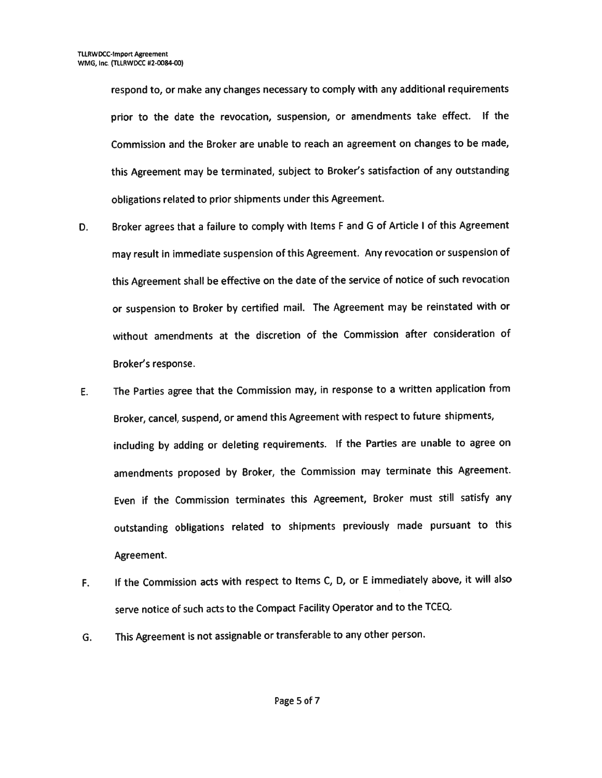respond to, or make any changes necessary to comply with any additional requirements prior to the date the revocation, suspension, or amendments take effect. If the Commission and the Broker are unable to reach an agreemen<sup>t</sup> on changes to be made, this Agreement may be terminated, subject to Broker's satisfaction of any outstanding obligations related to prior shipments under this Agreement.

- D. Broker agrees that <sup>a</sup> failure to comply with Items <sup>F</sup> and <sup>G</sup> of Article <sup>I</sup> of this Agreement may result in immediate suspension of this Agreement. Any revocation or suspension of this Agreement shall be effective on the date of the service of notice of such revocation or suspension to Broker by certified mail. The Agreement may be reinstated with or without amendments at the discretion of the Commission after consideration of Broker's response.
- E. The Parties agree that the Commission may, in response to <sup>a</sup> written application from Broker, cancel, suspend, or amend this Agreement with respec<sup>t</sup> to future shipments, including by adding or deleting requirements. If the Parties are unable to agree on amendments propose<sup>d</sup> by Broker, the Commission may terminate this Agreement. Even if the Commission terminates this Agreement, Broker must still satisfy any outstanding obligations related to shipments previously made pursuan<sup>t</sup> to this Agreement.
- F. If the Commission acts with respec<sup>t</sup> to Items C, D, or <sup>E</sup> immediately above, it will also serve notice of such acts to the Compact Facility Operator and to the TCEO..
- G. This Agreement is not assignable or transferable to any other person.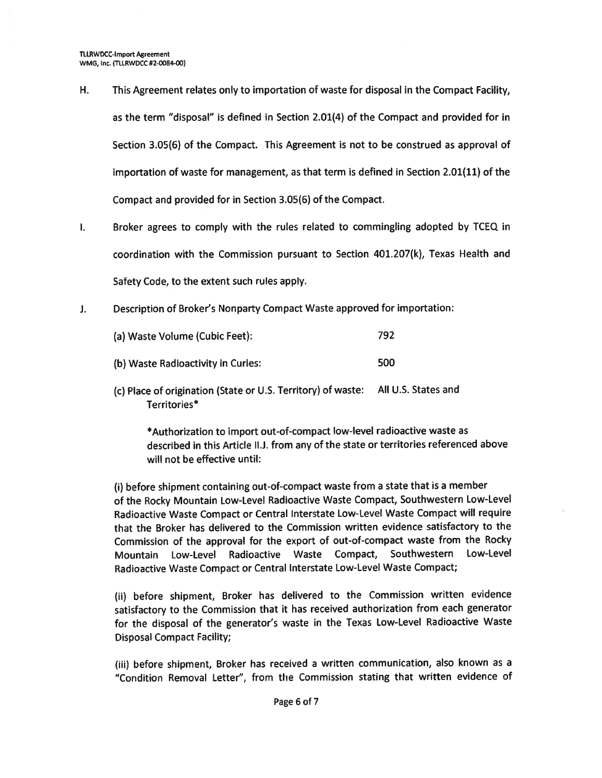- H. This Agreement relates only to importation of waste for disposal in the Compact Facility, as the term "disposal" is defined in Section 2.01(4) of the Compact and provided for in Section 3.05(6) of the Compact. This Agreement is not to be construed as approval of importation of waste for management, as that term is defined in Section 2.01(11) of the Compact and provided for in Section 3.05(6) of the Compact.
- Broker agrees to comply with the rules related to commingling adopted by TCEQ in  $\mathbf{L}$ coordination with the Commission pursuan<sup>t</sup> to Section 401.207(k), Texas Health and Safety Code, to the extent such rules apply.
- Description of Broker's Nonparty Compact Waste approve<sup>d</sup> for importation:  $J_{\star}$

| (a) Waste Volume (Cubic Feet):     | 792 |
|------------------------------------|-----|
| (b) Waste Radioactivity in Curies: | 500 |

(c) Place of origination (State or U.S. Territory) of waste: All U.S. States and Territories\*

\*Authorization to import out-of-compact low-level radioactive waste as described in this Article ll.J. from any of the state or territories referenced above will not be effective until:

(i) before shipment containing out-of-compact waste from <sup>a</sup> state that is <sup>a</sup> member of the Rocky Mountain Low-Level Radioactive Waste Compact, Southwestern Low-Level Radioactive Waste Compact or Central Interstate Low-Level Waste Compact will require that the Broker has delivered to the Commission written evidence satisfactory to the Commission of the approva<sup>l</sup> for the expor<sup>t</sup> of out-of-compact waste from the Rocky Mountain Low-Level Radioactive Waste Compact, Southwestern Low-Level Radioactive Waste Compact or Central Interstate Low-Level Waste Compact;

(ii) before shipment, Broker has delivered to the Commission written evidence satisfactory to the Commission that it has received authorization from each generator for the disposal of the generator's waste in the Texas Low-Level Radioactive Waste Disposal Compact Facility;

(iii) before shipment, Broker has received <sup>a</sup> written communication, also known as <sup>a</sup> "Condition Removal Letter", from the Commission stating that written evidence of